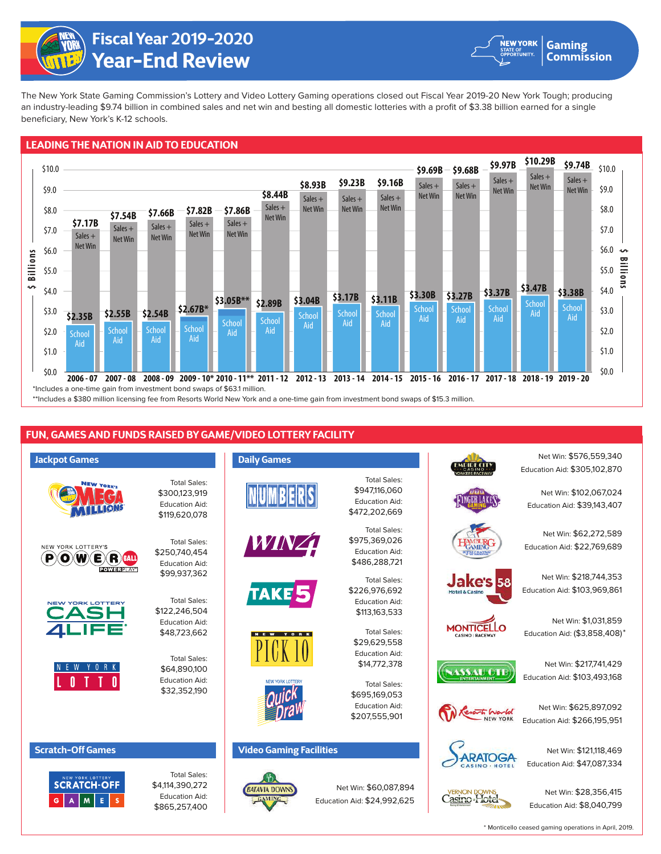

**Year-End Review Fiscal Year 2019-2020**



**Gaming Commission** 

The New York State Gaming Commission's Lottery and Video Lottery Gaming operations closed out Fiscal Year 2019-20 New York Tough; producing an industry-leading \$9.74 billion in combined sales and net win and besting all domestic lotteries with a profit of \$3.38 billion earned for a single beneficiary, New York's K-12 schools.

## **LEADING THE NATION IN AID TO EDUCATION**



## **FUN, GAMES AND FUNDS RAISED BY GAME/VIDEO LOTTERY FACILITY**





\$4,114,390,272 Education Aid: \$865,257,400

Net Win: \$60,087,894 Education Aid: \$24,992,625

Casino Hotel

Net Win: \$28,356,415 Education Aid: \$8,040,799